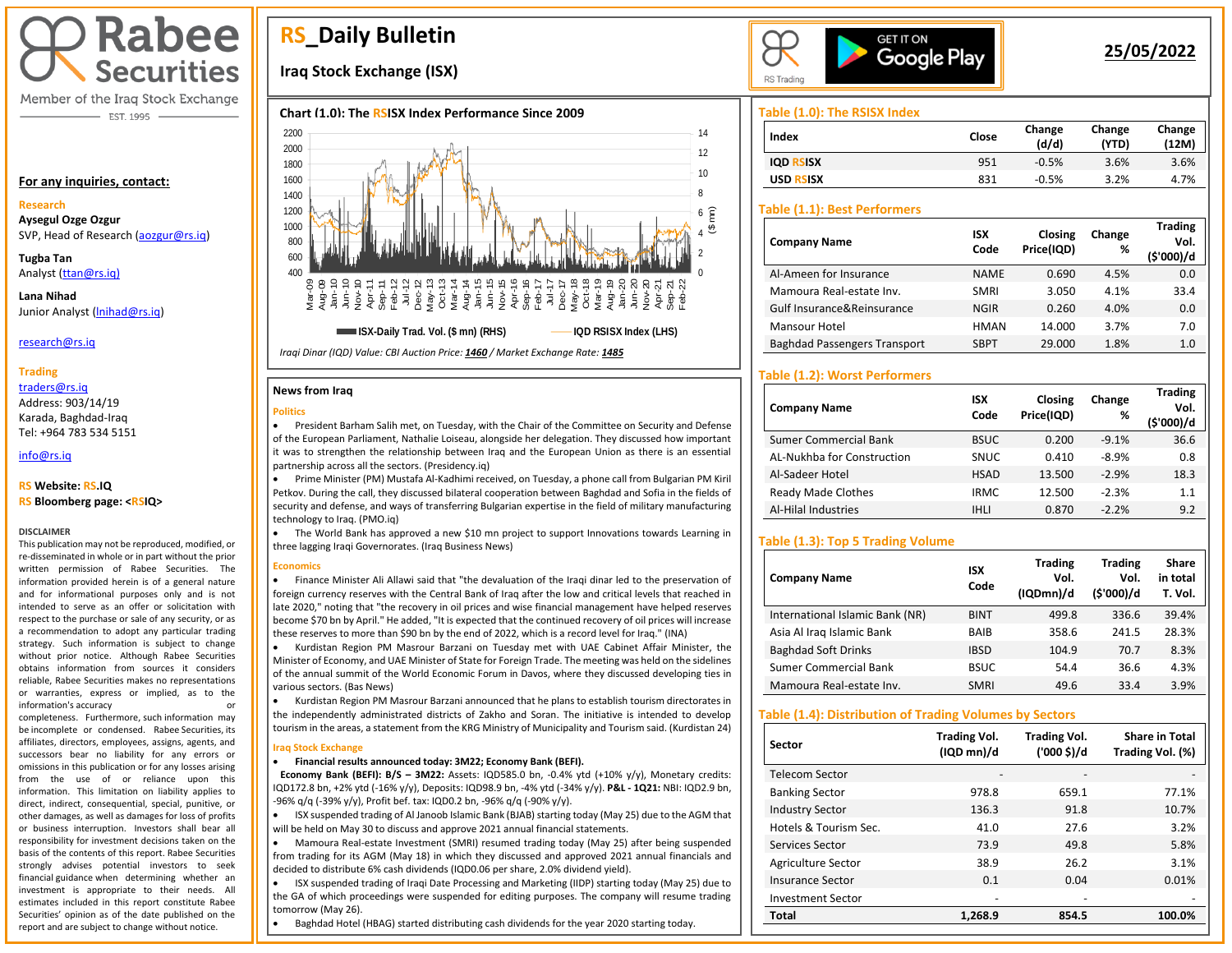# **Rabee Securities**

Member of the Iraq Stock Exchange - EST. 1995

#### **For any inquiries, contact:**

#### **Research**

**Aysegul Ozge Ozgur**  SVP, Head of Research [\(aozgur@rs.iq\)](mailto:aozgur@rs.iq)

**Tugba Tan** Analyst [\(ttan@rs.iq\)](mailto:ttan@rs.iq)

**Lana Nihad** Junior Analyst [\(lnihad@rs.iq\)](mailto:lnihad@rs.iq)

research@rs.iq

#### **Trading**

traders@rs.iq Address: 903/14/19 Karada, Baghdad-Iraq Tel: +964 783 534 5151

info@rs.iq İ

# **RS Website: RS.IQ**

**RS Bloomberg page: <RSIQ>**

#### **DISCLAIMER**

This publication may not be reproduced, modified, or re-disseminated in whole or in part without the prior written permission of Rabee Securities. The information provided herein is of a general nature and for informational purposes only and is not intended to serve as an offer or solicitation with respect to the purchase or sale of any security, or as a recommendation to adopt any particular trading strategy. Such information is subject to change without prior notice. Although Rabee Securities obtains information from sources it considers reliable, Rabee Securities makes no representations or warranties, express or implied, as to the information's accuracy or

completeness. Furthermore, such information may be incomplete or condensed. Rabee Securities, its affiliates, directors, employees, assigns, agents, and successors bear no liability for any errors or omissions in this publication or for any losses arising from the use of or reliance upon this information. This limitation on liability applies to direct, indirect, consequential, special, punitive, or other damages, as well as damages for loss of profits or business interruption. Investors shall bear all responsibility for investment decisions taken on the basis of the contents of this report. Rabee Securities strongly advises potential investors to seek financial guidance when determining whether an investment is appropriate to their needs. All estimates included in this report constitute Rabee Securities' opinion as of the date published on the report and are subject to change without notice.

# **RS\_Daily Bulletin**

# **Iraq Stock Exchange (ISX)**

### **Chart (1.0): The RSISX Index Performance Since 2009**



*Iraqi Dinar (IQD) Value: CBI Auction Price: 1460 / Market Exchange Rate: 1485*

#### **News from Iraq**

#### **Politics**



partnership across all the sectors. (Presidency.iq) • Prime Minister (PM) Mustafa Al-Kadhimi received, on Tuesday, a phone call from Bulgarian PM Kiril Petkov. During the call, they discussed bilateral cooperation between Baghdad and Sofia in the fields of security and defense, and ways of transferring Bulgarian expertise in the field of military manufacturing technology to Iraq. (PMO.iq)

• The World Bank has approved a new \$10 mn project to support Innovations towards Learning in three lagging Iraqi Governorates. (Iraq Business News)

#### **Economics**

• Finance Minister Ali Allawi said that "the devaluation of the Iraqi dinar led to the preservation of foreign currency reserves with the Central Bank of Iraq after the low and critical levels that reached in late 2020," noting that "the recovery in oil prices and wise financial management have helped reserves become \$70 bn by April." He added, "It is expected that the continued recovery of oil prices will increase these reserves to more than \$90 bn by the end of 2022, which is a record level for Iraq." (INA)

• Kurdistan Region PM Masrour Barzani on Tuesday met with UAE Cabinet Affair Minister, the Minister of Economy, and UAE Minister of State for Foreign Trade. The meeting was held on the sidelines of the annual summit of the World Economic Forum in Davos, where they discussed developing ties in various sectors. (Bas News)

• Kurdistan Region PM Masrour Barzani announced that he plans to establish tourism directorates in the independently administrated districts of Zakho and Soran. The initiative is intended to develop tourism in the areas, a statement from the KRG Ministry of Municipality and Tourism said. (Kurdistan 24)

#### **Iraq Stock Exchange**

 $\overline{\phantom{a}}$ 

• **Financial results announced today: 3M22; Economy Bank (BEFI).**

 **Economy Bank (BEFI): B/S – 3M22:** Assets: IQD585.0 bn, -0.4% ytd (+10% y/y), Monetary credits: IQD172.8 bn, +2% ytd (-16% y/y), Deposits: IQD98.9 bn, -4% ytd (-34% y/y). **P&L - 1Q21:** NBI: IQD2.9 bn, -96% q/q (-39% y/y), Profit bef. tax: IQD0.2 bn, -96% q/q (-90% y/y).

• ISX suspended trading of Al Janoob Islamic Bank (BJAB) starting today (May 25) due to the AGM that will be held on May 30 to discuss and approve 2021 annual financial statements.

• Mamoura Real-estate Investment (SMRI) resumed trading today (May 25) after being suspended from trading for its AGM (May 18) in which they discussed and approved 2021 annual financials and decided to distribute 6% cash dividends (IQD0.06 per share, 2.0% dividend yield).

• ISX suspended trading of Iraqi Date Processing and Marketing (IIDP) starting today (May 25) due to the GA of which proceedings were suspended for editing purposes. The company will resume trading tomorrow (May 26).

• Baghdad Hotel (HBAG) started distributing cash dividends for the year 2020 starting today.



# **25/05/2022**

**Trading** 

# **Table (1.0): The RSISX Index**

| Index                | Close | Change<br>(d/d) | Change<br>(YTD) | Change<br>(12M) |
|----------------------|-------|-----------------|-----------------|-----------------|
| <b>IOD RSISX</b>     | 951   | $-0.5%$         | 3.6%            | 3.6%            |
| USD.<br><b>RSISX</b> | 831   | $-0.5%$         | 3.2%            | 4.7%            |

## **Table (1.1): Best Performers**

| <b>Company Name</b>                 | <b>ISX</b><br>Code | Closing<br>Price(IQD) | Change<br>% | <b>Trading</b><br>Vol.<br>(\$'000)/d |
|-------------------------------------|--------------------|-----------------------|-------------|--------------------------------------|
| Al-Ameen for Insurance              | <b>NAME</b>        | 0.690                 | 4.5%        | 0.0                                  |
| Mamoura Real-estate Inv.            | <b>SMRI</b>        | 3.050                 | 4.1%        | 33.4                                 |
| Gulf Insurance&Reinsurance          | <b>NGIR</b>        | 0.260                 | 4.0%        | 0.0                                  |
| Mansour Hotel                       | <b>HMAN</b>        | 14.000                | 3.7%        | 7.0                                  |
| <b>Baghdad Passengers Transport</b> | <b>SBPT</b>        | 29,000                | 1.8%        | 1.0                                  |

# **Table (1.2): Worst Performers**

| <b>Company Name</b>        | <b>ISX</b><br>Code | Closing<br>Price(IQD) | Change<br>% | Trading<br>Vol.<br>(\$'000)/d |
|----------------------------|--------------------|-----------------------|-------------|-------------------------------|
| Sumer Commercial Bank      | <b>BSUC</b>        | 0.200                 | $-9.1%$     | 36.6                          |
| AL-Nukhba for Construction | <b>SNUC</b>        | 0.410                 | $-8.9%$     | 0.8                           |
| Al-Sadeer Hotel            | <b>HSAD</b>        | 13.500                | $-2.9%$     | 18.3                          |
| <b>Ready Made Clothes</b>  | <b>IRMC</b>        | 12.500                | $-2.3%$     | 1.1                           |
| <b>Al-Hilal Industries</b> | IHLI               | 0.870                 | $-2.2%$     | 9.2                           |

# **Table (1.3): Top 5 Trading Volume**

| <b>Company Name</b>             | <b>ISX</b><br>Code | <b>Trading</b><br>Vol.<br>(IQDmn)/d | <b>Trading</b><br>Vol.<br>(\$'000)/d | Share<br>in total<br>T. Vol. |
|---------------------------------|--------------------|-------------------------------------|--------------------------------------|------------------------------|
| International Islamic Bank (NR) | <b>BINT</b>        | 499.8                               | 336.6                                | 39.4%                        |
| Asia Al Iraq Islamic Bank       | BAIB               | 358.6                               | 241.5                                | 28.3%                        |
| <b>Baghdad Soft Drinks</b>      | <b>IBSD</b>        | 104.9                               | 70.7                                 | 8.3%                         |
| Sumer Commercial Bank           | <b>BSUC</b>        | 54.4                                | 36.6                                 | 4.3%                         |
| Mamoura Real-estate Inv.        | <b>SMRI</b>        | 49.6                                | 33.4                                 | 3.9%                         |

#### **Table (1.4): Distribution of Trading Volumes by Sectors**

| Sector                   | <b>Trading Vol.</b><br>(IQD mn)/d | <b>Trading Vol.</b><br>('000 \$)/d | <b>Share in Total</b><br>Trading Vol. (%) |
|--------------------------|-----------------------------------|------------------------------------|-------------------------------------------|
| Telecom Sector           |                                   |                                    |                                           |
| <b>Banking Sector</b>    | 978.8                             | 659.1                              | 77.1%                                     |
| <b>Industry Sector</b>   | 136.3                             | 91.8                               | 10.7%                                     |
| Hotels & Tourism Sec.    | 41.0                              | 27.6                               | 3.2%                                      |
| Services Sector          | 73.9                              | 49.8                               | 5.8%                                      |
| Agriculture Sector       | 38.9                              | 26.2                               | 3.1%                                      |
| Insurance Sector         | 0.1                               | 0.04                               | 0.01%                                     |
| <b>Investment Sector</b> | -                                 |                                    |                                           |
| Total                    | 1,268.9                           | 854.5                              | 100.0%                                    |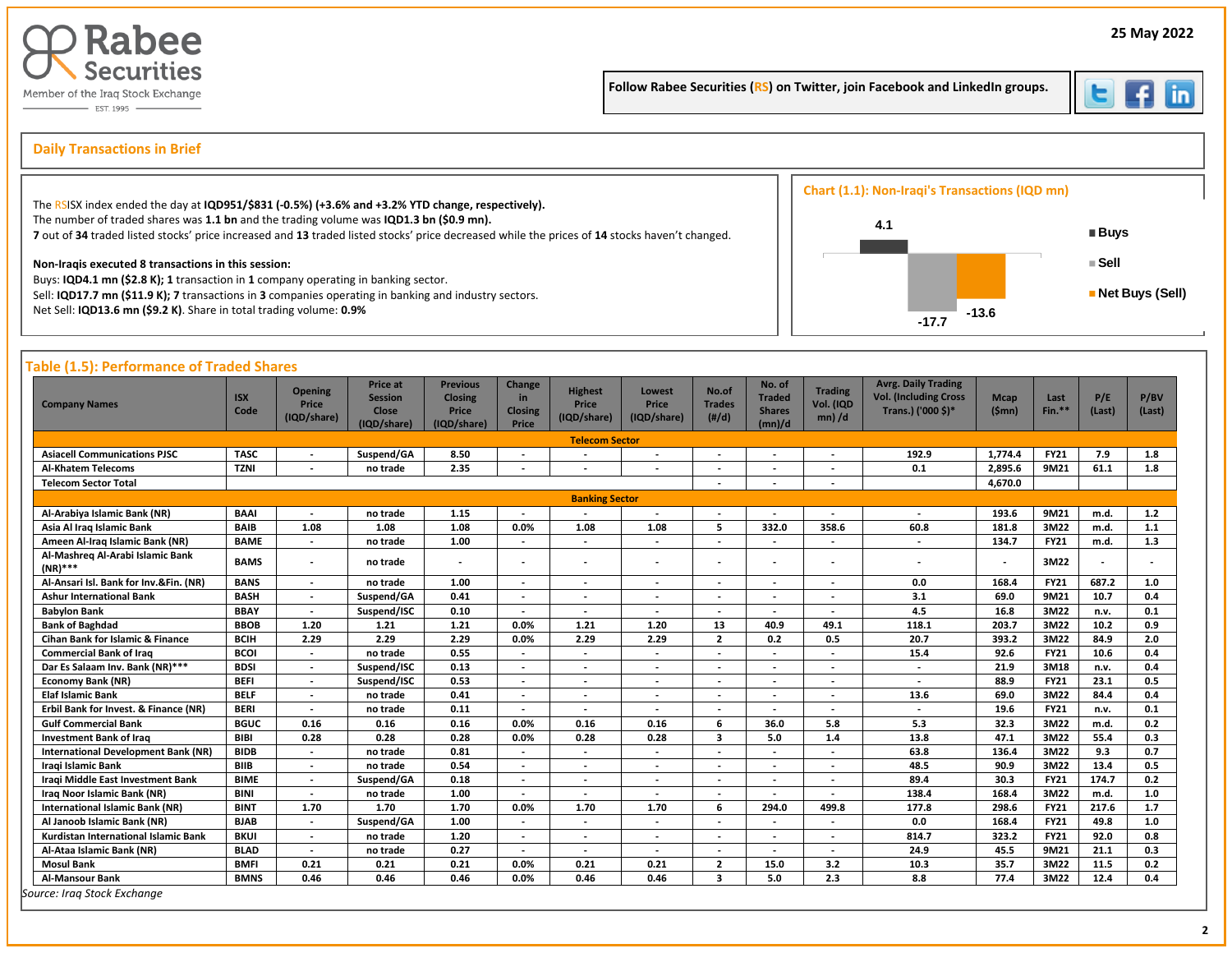

Follow Rabee Securities (RS) on Twitter, join Facebook and LinkedIn groups.



İ

# s **Daily Transactions in Brief**

| The RSISX index ended the day at IQD951/\$831 (-0.5%) (+3.6% and +3.2% YTD change, respectively).                                                                                                                                                                  | <b>Chart (1.1): Non-Iragi's Transactions (IQD mn)</b> |                   |
|--------------------------------------------------------------------------------------------------------------------------------------------------------------------------------------------------------------------------------------------------------------------|-------------------------------------------------------|-------------------|
| The number of traded shares was 1.1 bn and the trading volume was IQD1.3 bn (\$0.9 mn).<br>7 out of 34 traded listed stocks' price increased and 13 traded listed stocks' price decreased while the prices of 14 stocks haven't changed.                           | 4.1                                                   | ■ Buys            |
| Non-Iragis executed 8 transactions in this session:                                                                                                                                                                                                                |                                                       | ⊧ Sell            |
| Buys: IQD4.1 mn (\$2.8 K); 1 transaction in 1 company operating in banking sector.<br>Sell: IQD17.7 mn (\$11.9 K); 7 transactions in 3 companies operating in banking and industry sectors.<br>Net Sell: IQD13.6 mn (\$9.2 K). Share in total trading volume: 0.9% |                                                       | ■ Net Buys (Sell) |
|                                                                                                                                                                                                                                                                    | $-13.6$<br>$-17.7$                                    |                   |

| <b>Company Names</b>                           | <b>ISX</b><br>Code | <b>Opening</b><br>Price<br>(IQD/share) | <b>Price at</b><br><b>Session</b><br>Close<br>(IQD/share) | <b>Previous</b><br><b>Closing</b><br><b>Price</b><br>(IQD/share) | Change<br>in<br>Closing<br>Price | <b>Highest</b><br>Price<br>(IQD/share) | Lowest<br>Price<br>(IQD/share) | No.of<br><b>Trades</b><br>(H/d) | No. of<br><b>Traded</b><br><b>Shares</b><br>(mn)/d | <b>Trading</b><br>Vol. (IQD<br>$mn)$ /d | <b>Avrg. Daily Trading</b><br><b>Vol. (Including Cross</b><br>Trans.) ('000 \$)* | <b>Mcap</b><br>(Smn)     | Last<br>$Fin.**$ | P/E<br>(Last) | P/BV<br>(Last) |
|------------------------------------------------|--------------------|----------------------------------------|-----------------------------------------------------------|------------------------------------------------------------------|----------------------------------|----------------------------------------|--------------------------------|---------------------------------|----------------------------------------------------|-----------------------------------------|----------------------------------------------------------------------------------|--------------------------|------------------|---------------|----------------|
|                                                |                    |                                        |                                                           |                                                                  |                                  | <b>Telecom Sector</b>                  |                                |                                 |                                                    |                                         |                                                                                  |                          |                  |               |                |
| <b>Asiacell Communications PJSC</b>            | <b>TASC</b>        | $\overline{\phantom{a}}$               | Suspend/GA                                                | 8.50                                                             |                                  |                                        |                                | $\overline{\phantom{a}}$        |                                                    |                                         | 192.9                                                                            | 1,774.4                  | <b>FY21</b>      | 7.9           | 1.8            |
| Al-Khatem Telecoms                             | <b>TZNI</b>        |                                        | no trade                                                  | 2.35                                                             | $\overline{a}$                   |                                        | $\overline{\phantom{a}}$       | $\overline{a}$                  | $\overline{\phantom{a}}$                           | $\overline{\phantom{a}}$                | 0.1                                                                              | 2,895.6                  | 9M21             | 61.1          | 1.8            |
| <b>Telecom Sector Total</b>                    |                    |                                        |                                                           |                                                                  |                                  |                                        |                                |                                 |                                                    |                                         |                                                                                  | 4,670.0                  |                  |               |                |
|                                                |                    |                                        |                                                           |                                                                  |                                  | <b>Banking Sector</b>                  |                                |                                 |                                                    |                                         |                                                                                  |                          |                  |               |                |
| Al-Arabiya Islamic Bank (NR)                   | <b>BAAI</b>        | $\overline{\phantom{a}}$               | no trade                                                  | 1.15                                                             |                                  |                                        | $\overline{\phantom{a}}$       | $\overline{\phantom{a}}$        |                                                    |                                         |                                                                                  | 193.6                    | 9M21             | m.d.          | 1.2            |
| Asia Al Iraq Islamic Bank                      | <b>BAIB</b>        | 1.08                                   | 1.08                                                      | 1.08                                                             | 0.0%                             | 1.08                                   | 1.08                           | - 5                             | 332.0                                              | 358.6                                   | 60.8                                                                             | 181.8                    | 3M22             | m.d.          | 1.1            |
| Ameen Al-Iraq Islamic Bank (NR)                | <b>BAME</b>        | $\overline{\phantom{a}}$               | no trade                                                  | 1.00                                                             |                                  |                                        | $\overline{\phantom{a}}$       |                                 |                                                    | $\overline{\phantom{a}}$                | $\overline{\phantom{a}}$                                                         | 134.7                    | <b>FY21</b>      | m.d.          | 1.3            |
| Al-Mashreg Al-Arabi Islamic Bank<br>$(NR)$ *** | <b>BAMS</b>        | $\overline{\phantom{a}}$               | no trade                                                  |                                                                  |                                  |                                        |                                |                                 |                                                    |                                         | $\overline{\phantom{a}}$                                                         | $\overline{\phantom{a}}$ | 3M22             |               |                |
| Al-Ansari Isl. Bank for Inv.&Fin. (NR)         | <b>BANS</b>        | $\overline{\phantom{a}}$               | no trade                                                  | 1.00                                                             | $\overline{\phantom{a}}$         | $\overline{\phantom{a}}$               | $\overline{\phantom{a}}$       | $\overline{\phantom{a}}$        | $\overline{\phantom{a}}$                           | $\overline{\phantom{a}}$                | 0.0                                                                              | 168.4                    | <b>FY21</b>      | 687.2         | 1.0            |
| <b>Ashur International Bank</b>                | <b>BASH</b>        | $\overline{\phantom{a}}$               | Suspend/GA                                                | 0.41                                                             | $\overline{\phantom{a}}$         | $\blacksquare$                         | $\overline{\phantom{a}}$       | $\overline{\phantom{a}}$        | $\overline{\phantom{a}}$                           |                                         | 3.1                                                                              | 69.0                     | 9M21             | 10.7          | 0.4            |
| <b>Babylon Bank</b>                            | <b>BBAY</b>        | $\overline{\phantom{a}}$               | Suspend/ISC                                               | 0.10                                                             |                                  |                                        |                                |                                 |                                                    |                                         | 4.5                                                                              | 16.8                     | 3M22             | n.v.          | 0.1            |
| <b>Bank of Baghdad</b>                         | <b>BBOB</b>        | 1.20                                   | 1.21                                                      | 1.21                                                             | 0.0%                             | 1.21                                   | 1.20                           | 13                              | 40.9                                               | 49.1                                    | 118.1                                                                            | 203.7                    | 3M22             | 10.2          | 0.9            |
| Cihan Bank for Islamic & Finance               | <b>BCIH</b>        | 2.29                                   | 2.29                                                      | 2.29                                                             | 0.0%                             | 2.29                                   | 2.29                           | $\overline{2}$                  | 0.2                                                | 0.5                                     | 20.7                                                                             | 393.2                    | 3M22             | 84.9          | 2.0            |
| <b>Commercial Bank of Iraq</b>                 | <b>BCOI</b>        | $\overline{\phantom{a}}$               | no trade                                                  | 0.55                                                             |                                  |                                        | $\overline{\phantom{a}}$       |                                 |                                                    |                                         | 15.4                                                                             | 92.6                     | <b>FY21</b>      | 10.6          | 0.4            |
| Dar Es Salaam Inv. Bank (NR)***                | <b>BDSI</b>        | $\overline{\phantom{a}}$               | Suspend/ISC                                               | 0.13                                                             |                                  |                                        | $\overline{\phantom{a}}$       |                                 |                                                    |                                         | $\overline{\phantom{a}}$                                                         | 21.9                     | 3M18             | n.v.          | 0.4            |
| <b>Economy Bank (NR)</b>                       | <b>BEFI</b>        | $\overline{\phantom{a}}$               | Suspend/ISC                                               | 0.53                                                             |                                  |                                        | $\overline{\phantom{a}}$       |                                 |                                                    |                                         | $\overline{\phantom{a}}$                                                         | 88.9                     | <b>FY21</b>      | 23.1          | 0.5            |
| <b>Elaf Islamic Bank</b>                       | <b>BELF</b>        | $\overline{\phantom{a}}$               | no trade                                                  | 0.41                                                             |                                  | $\overline{\phantom{a}}$               | $\overline{\phantom{a}}$       | $\overline{\phantom{a}}$        |                                                    |                                         | 13.6                                                                             | 69.0                     | 3M22             | 84.4          | 0.4            |
| Erbil Bank for Invest. & Finance (NR)          | <b>BERI</b>        | $\overline{\phantom{a}}$               | no trade                                                  | 0.11                                                             | $\overline{\phantom{a}}$         | $\overline{\phantom{a}}$               | $\overline{\phantom{a}}$       | $\overline{\phantom{a}}$        | $\overline{\phantom{a}}$                           | $\blacksquare$                          | $\overline{\phantom{a}}$                                                         | 19.6                     | <b>FY21</b>      | n.v.          | 0.1            |
| <b>Gulf Commercial Bank</b>                    | <b>BGUC</b>        | 0.16                                   | 0.16                                                      | 0.16                                                             | 0.0%                             | 0.16                                   | 0.16                           | 6                               | 36.0                                               | 5.8                                     | 5.3                                                                              | 32.3                     | 3M22             | m.d.          | 0.2            |
| <b>Investment Bank of Iraq</b>                 | <b>BIBI</b>        | 0.28                                   | 0.28                                                      | 0.28                                                             | 0.0%                             | 0.28                                   | 0.28                           | 3                               | 5.0                                                | 1.4                                     | 13.8                                                                             | 47.1                     | 3M22             | 55.4          | 0.3            |
| <b>International Development Bank (NR)</b>     | <b>BIDB</b>        | $\overline{\phantom{a}}$               | no trade                                                  | 0.81                                                             |                                  |                                        | $\overline{\phantom{a}}$       |                                 |                                                    |                                         | 63.8                                                                             | 136.4                    | 3M22             | 9.3           | 0.7            |
| Iraqi Islamic Bank                             | <b>BIIB</b>        | $\overline{\phantom{a}}$               | no trade                                                  | 0.54                                                             |                                  |                                        | $\overline{\phantom{a}}$       |                                 |                                                    |                                         | 48.5                                                                             | 90.9                     | 3M22             | 13.4          | 0.5            |
| Iraqi Middle East Investment Bank              | <b>BIME</b>        | $\overline{\phantom{a}}$               | Suspend/GA                                                | 0.18                                                             |                                  |                                        | $\overline{\phantom{a}}$       |                                 |                                                    |                                         | 89.4                                                                             | 30.3                     | <b>FY21</b>      | 174.7         | 0.2            |
| Iraq Noor Islamic Bank (NR)                    | <b>BINI</b>        | $\overline{a}$                         | no trade                                                  | 1.00                                                             |                                  |                                        | $\overline{\phantom{0}}$       |                                 |                                                    |                                         | 138.4                                                                            | 168.4                    | 3M22             | m.d.          | 1.0            |
| <b>International Islamic Bank (NR)</b>         | <b>BINT</b>        | 1.70                                   | 1.70                                                      | 1.70                                                             | 0.0%                             | 1.70                                   | 1.70                           | 6                               | 294.0                                              | 499.8                                   | 177.8                                                                            | 298.6                    | <b>FY21</b>      | 217.6         | 1.7            |
| Al Janoob Islamic Bank (NR)                    | <b>BJAB</b>        | $\overline{\phantom{a}}$               | Suspend/GA                                                | 1.00                                                             |                                  |                                        | $\overline{\phantom{a}}$       | $\overline{\phantom{a}}$        |                                                    |                                         | 0.0                                                                              | 168.4                    | <b>FY21</b>      | 49.8          | 1.0            |
| Kurdistan International Islamic Bank           | <b>BKUI</b>        | $\overline{\phantom{a}}$               | no trade                                                  | 1.20                                                             | $\overline{\phantom{a}}$         | $\overline{\phantom{a}}$               | $\overline{\phantom{a}}$       | $\overline{\phantom{a}}$        | $\overline{\phantom{a}}$                           |                                         | 814.7                                                                            | 323.2                    | <b>FY21</b>      | 92.0          | 0.8            |
| Al-Ataa Islamic Bank (NR)                      | <b>BLAD</b>        | $\overline{\phantom{a}}$               | no trade                                                  | 0.27                                                             | $\overline{\phantom{a}}$         | $\overline{\phantom{a}}$               | $\overline{\phantom{a}}$       | $\overline{a}$                  | $\overline{\phantom{a}}$                           |                                         | 24.9                                                                             | 45.5                     | 9M21             | 21.1          | 0.3            |
| <b>Mosul Bank</b>                              | <b>BMFI</b>        | 0.21                                   | 0.21                                                      | 0.21                                                             | 0.0%                             | 0.21                                   | 0.21                           | $\overline{2}$                  | 15.0                                               | 3.2                                     | 10.3                                                                             | 35.7                     | 3M22             | 11.5          | 0.2            |
| Al-Mansour Bank                                | <b>BMNS</b>        | 0.46                                   | 0.46                                                      | 0.46                                                             | 0.0%                             | 0.46                                   | 0.46                           | 3                               | 5.0                                                | 2.3                                     | 8.8                                                                              | 77.4                     | 3M22             | 12.4          | 0.4            |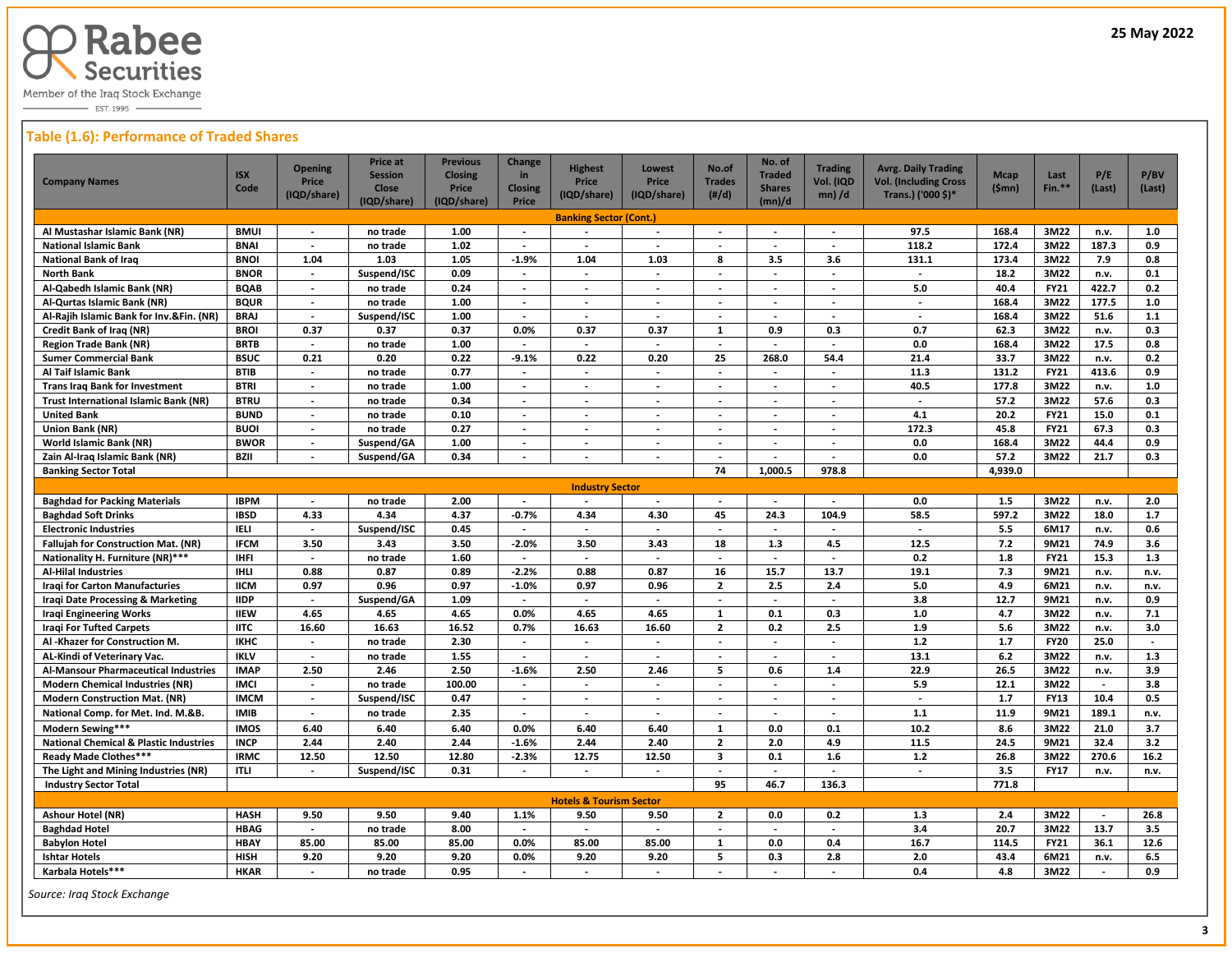

 $-$  EST. 1995  $-$ 

# **Table (1.6): Performance of Traded Shares**

| Al Mustashar Islamic Bank (NR)<br><b>National Islamic Bank</b> | <b>BMUI</b> |                          | (IQD/share) | (IQD/share) | <b>Closing</b><br>Price  | (IQD/share)                        | (IQD/share)              | $(\#/d)$                 | <b>Shares</b><br>(mn)/d  | Vol. (IQD<br>$mn)$ /d    | <b>Vol. (Including Cross</b><br>Trans.) ('000 \$)* | (Smn)   | $Fin.**$    | (Last)                   | (Last) |
|----------------------------------------------------------------|-------------|--------------------------|-------------|-------------|--------------------------|------------------------------------|--------------------------|--------------------------|--------------------------|--------------------------|----------------------------------------------------|---------|-------------|--------------------------|--------|
|                                                                |             |                          |             |             |                          | <b>Banking Sector (Cont.)</b>      |                          |                          |                          |                          |                                                    |         |             |                          |        |
|                                                                |             |                          | no trade    | 1.00        | $\overline{\phantom{a}}$ |                                    |                          | ÷,                       |                          | $\overline{\phantom{a}}$ | 97.5                                               | 168.4   | 3M22        | n.v.                     | 1.0    |
|                                                                | <b>BNAI</b> | $\blacksquare$           | no trade    | 1.02        | $\overline{\phantom{a}}$ |                                    | $\ddot{\phantom{a}}$     |                          |                          | $\overline{\phantom{a}}$ | 118.2                                              | 172.4   | 3M22        | 187.3                    | 0.9    |
| <b>National Bank of Iraq</b>                                   | <b>BNOI</b> | 1.04                     | 1.03        | 1.05        | $-1.9%$                  | 1.04                               | 1.03                     | 8                        | 3.5                      | 3.6                      | 131.1                                              | 173.4   | 3M22        | 7.9                      | 0.8    |
| <b>North Bank</b>                                              | <b>BNOR</b> | $\overline{\phantom{a}}$ | Suspend/ISC | 0.09        | $\sim$                   | $\blacksquare$                     | $\blacksquare$           | $\overline{a}$           | $\sim$                   | $\overline{\phantom{a}}$ | $\sim$                                             | 18.2    | 3M22        | n.v.                     | 0.1    |
| Al-Qabedh Islamic Bank (NR)                                    | <b>BQAB</b> | $\sim$                   | no trade    | 0.24        | $\sim$                   | $\overline{\phantom{a}}$           | $\blacksquare$           | $\blacksquare$           | $\overline{\phantom{a}}$ | $\overline{\phantom{a}}$ | 5.0                                                | 40.4    | <b>FY21</b> | 422.7                    | 0.2    |
| Al-Qurtas Islamic Bank (NR)                                    | <b>BQUR</b> | $\overline{\phantom{a}}$ | no trade    | 1.00        | $\overline{\phantom{a}}$ | $\overline{\phantom{a}}$           | $\overline{\phantom{a}}$ | $\overline{\phantom{a}}$ | $\overline{\phantom{a}}$ | $\overline{\phantom{a}}$ | $\sim$                                             | 168.4   | 3M22        | 177.5                    | 1.0    |
| Al-Rajih Islamic Bank for Inv.&Fin. (NR)                       | <b>BRAJ</b> | $\overline{\phantom{a}}$ | Suspend/ISC | 1.00        | $\overline{\phantom{a}}$ | $\overline{\phantom{a}}$           | $\overline{\phantom{a}}$ | $\blacksquare$           | $\overline{\phantom{a}}$ | $\overline{\phantom{a}}$ | $\overline{a}$                                     | 168.4   | 3M22        | 51.6                     | 1.1    |
| <b>Credit Bank of Iraq (NR)</b>                                | <b>BROI</b> | 0.37                     | 0.37        | 0.37        | 0.0%                     | 0.37                               | 0.37                     | $\mathbf{1}$             | 0.9                      | 0.3                      | 0.7                                                | 62.3    | 3M22        | n.v.                     | 0.3    |
| <b>Region Trade Bank (NR)</b>                                  | <b>BRTB</b> | $\overline{\phantom{a}}$ | no trade    | 1.00        |                          |                                    | $\overline{\phantom{a}}$ |                          |                          |                          | 0.0                                                | 168.4   | 3M22        | 17.5                     | 0.8    |
| <b>Sumer Commercial Bank</b>                                   | <b>BSUC</b> | 0.21                     | 0.20        | 0.22        | $-9.1%$                  | 0.22                               | 0.20                     | 25                       | 268.0                    | 54.4                     | 21.4                                               | 33.7    | 3M22        | n.v.                     | 0.2    |
| Al Taif Islamic Bank                                           | <b>BTIB</b> | $\blacksquare$           | no trade    | 0.77        |                          | $\overline{a}$                     | $\overline{\phantom{a}}$ | $\blacksquare$           |                          |                          | 11.3                                               | 131.2   | <b>FY21</b> | 413.6                    | 0.9    |
| <b>Trans Iraq Bank for Investment</b>                          | <b>BTRI</b> | $\sim$                   | no trade    | 1.00        | $\sim$                   | $\blacksquare$                     | $\overline{\phantom{a}}$ | $\overline{a}$           | $\sim$                   | $\overline{a}$           | 40.5                                               | 177.8   | 3M22        | n.v.                     | 1.0    |
| <b>Trust International Islamic Bank (NR)</b>                   | <b>BTRU</b> | $\blacksquare$           | no trade    | 0.34        | $\blacksquare$           | $\overline{\phantom{a}}$           | $\overline{\phantom{a}}$ | $\blacksquare$           | $\overline{\phantom{a}}$ | $\overline{\phantom{a}}$ | $\overline{\phantom{a}}$                           | 57.2    | 3M22        | 57.6                     | 0.3    |
| <b>United Bank</b>                                             | <b>BUND</b> | $\overline{\phantom{a}}$ | no trade    | 0.10        | $\overline{\phantom{a}}$ | $\overline{\phantom{a}}$           | $\overline{\phantom{a}}$ | $\overline{\phantom{a}}$ | $\blacksquare$           | $\overline{\phantom{a}}$ | 4.1                                                | 20.2    | <b>FY21</b> | 15.0                     | 0.1    |
| <b>Union Bank (NR)</b>                                         | <b>BUOI</b> | $\overline{\phantom{a}}$ | no trade    | 0.27        | $\overline{\phantom{a}}$ | $\overline{\phantom{a}}$           | $\overline{\phantom{a}}$ | $\overline{\phantom{a}}$ | $\overline{\phantom{a}}$ | $\overline{\phantom{a}}$ | 172.3                                              | 45.8    | <b>FY21</b> | 67.3                     | 0.3    |
| <b>World Islamic Bank (NR)</b>                                 | <b>BWOR</b> | $\blacksquare$           | Suspend/GA  | 1.00        | $\sim$                   | $\blacksquare$                     | $\overline{\phantom{a}}$ | $\blacksquare$           | $\sim$                   | $\blacksquare$           | 0.0                                                | 168.4   | 3M22        | 44.4                     | 0.9    |
| Zain Al-Iraq Islamic Bank (NR)                                 | <b>BZII</b> |                          | Suspend/GA  | 0.34        |                          |                                    |                          |                          |                          |                          | 0.0                                                | 57.2    | 3M22        | 21.7                     | 0.3    |
| <b>Banking Sector Total</b>                                    |             |                          |             |             |                          |                                    |                          | 74                       | 1,000.5                  | 978.8                    |                                                    | 4,939.0 |             |                          |        |
|                                                                |             |                          |             |             |                          | <b>Industry Sector</b>             |                          |                          |                          |                          |                                                    |         |             |                          |        |
| <b>Baghdad for Packing Materials</b>                           | <b>IBPM</b> | $\overline{\phantom{a}}$ | no trade    | 2.00        | $\overline{\phantom{a}}$ | $\overline{\phantom{a}}$           | $\overline{\phantom{a}}$ | $\blacksquare$           | $\overline{\phantom{a}}$ | $\overline{\phantom{a}}$ | 0.0                                                | 1.5     | 3M22        | n.v.                     | 2.0    |
| <b>Baghdad Soft Drinks</b>                                     | <b>IBSD</b> | 4.33                     | 4.34        | 4.37        | $-0.7%$                  | 4.34                               | 4.30                     | 45                       | 24.3                     | 104.9                    | 58.5                                               | 597.2   | 3M22        | 18.0                     | 1.7    |
| <b>Electronic Industries</b>                                   | IELI        | $\blacksquare$           | Suspend/ISC | 0.45        |                          | $\blacksquare$                     | $\overline{\phantom{a}}$ |                          | $\blacksquare$           |                          | $\sim$                                             | 5.5     | 6M17        | n.v.                     | 0.6    |
| Fallujah for Construction Mat. (NR)                            | <b>IFCM</b> | 3.50                     | 3.43        | 3.50        | $-2.0%$                  | 3.50                               | 3.43                     | 18                       | 1.3                      | 4.5                      | 12.5                                               | 7.2     | 9M21        | 74.9                     | 3.6    |
| Nationality H. Furniture (NR)***                               | <b>IHFI</b> | $\sim$                   | no trade    | 1.60        | $\sim$                   | $\sim$                             | $\overline{\phantom{a}}$ | $\overline{\phantom{a}}$ | $\sim$                   | $\blacksquare$           | 0.2                                                | 1.8     | <b>FY21</b> | 15.3                     | 1.3    |
| <b>Al-Hilal Industries</b>                                     | IHLI        | 0.88                     | 0.87        | 0.89        | $-2.2%$                  | 0.88                               | 0.87                     | 16                       | 15.7                     | 13.7                     | 19.1                                               | 7.3     | 9M21        | n.v.                     | n.v.   |
| <b>Iragi for Carton Manufacturies</b>                          | <b>IICM</b> | 0.97                     | 0.96        | 0.97        | $-1.0%$                  | 0.97                               | 0.96                     | $\overline{2}$           | 2.5                      | 2.4                      | 5.0                                                | 4.9     | 6M21        | n.v.                     | n.v.   |
| Iraqi Date Processing & Marketing                              | <b>IIDP</b> | $\overline{\phantom{a}}$ | Suspend/GA  | 1.09        | $\sim$                   | $\overline{a}$                     | $\overline{\phantom{a}}$ | $\overline{\phantom{a}}$ | $\sim$                   | $\overline{a}$           | 3.8                                                | 12.7    | 9M21        | n.v.                     | 0.9    |
| <b>Iraqi Engineering Works</b>                                 | <b>IIEW</b> | 4.65                     | 4.65        | 4.65        | 0.0%                     | 4.65                               | 4.65                     | $\mathbf{1}$             | 0.1                      | 0.3                      | 1.0                                                | 4.7     | 3M22        | n.v.                     | 7.1    |
| <b>Iragi For Tufted Carpets</b>                                | <b>IITC</b> | 16.60                    | 16.63       | 16.52       | 0.7%                     | 16.63                              | 16.60                    | $\overline{2}$           | 0.2                      | 2.5                      | 1.9                                                | 5.6     | 3M22        | n.v.                     | 3.0    |
| Al -Khazer for Construction M.                                 | <b>IKHC</b> |                          | no trade    | 2.30        |                          |                                    | $\overline{\phantom{a}}$ |                          | $\overline{\phantom{a}}$ | $\overline{\phantom{a}}$ | $1.2$                                              | 1.7     | <b>FY20</b> | 25.0                     |        |
| AL-Kindi of Veterinary Vac.                                    | <b>IKLV</b> | $\overline{a}$           | no trade    | 1.55        | $\overline{\phantom{a}}$ | $\overline{a}$                     | $\overline{\phantom{a}}$ |                          |                          | $\overline{a}$           | 13.1                                               | $6.2$   | 3M22        | n.v.                     | 1.3    |
| Al-Mansour Pharmaceutical Industries                           | <b>IMAP</b> | 2.50                     | 2.46        | 2.50        | $-1.6%$                  | 2.50                               | 2.46                     | 5                        | 0.6                      | $1.4$                    | 22.9                                               | 26.5    | 3M22        | n.v.                     | 3.9    |
| <b>Modern Chemical Industries (NR)</b>                         | <b>IMCI</b> | $\sim$                   | no trade    | 100.00      | $\overline{\phantom{a}}$ | $\blacksquare$                     | $\overline{\phantom{a}}$ | $\blacksquare$           | $\sim$                   | $\blacksquare$           | 5.9                                                | 12.1    | 3M22        | $\overline{\phantom{a}}$ | 3.8    |
| <b>Modern Construction Mat. (NR)</b>                           | <b>IMCM</b> | $\overline{\phantom{a}}$ | Suspend/ISC | 0.47        | $\sim$                   | $\blacksquare$                     | $\overline{\phantom{a}}$ | $\blacksquare$           | $\overline{\phantom{a}}$ | $\overline{\phantom{a}}$ | $\sim$                                             | 1.7     | <b>FY13</b> | 10.4                     | 0.5    |
| National Comp. for Met. Ind. M.&B.                             | <b>IMIB</b> | $\overline{a}$           | no trade    | 2.35        | $\overline{\phantom{a}}$ | $\overline{a}$                     | $\overline{\phantom{a}}$ | $\overline{\phantom{a}}$ | $\overline{\phantom{a}}$ | $\overline{a}$           | $1.1$                                              | 11.9    | 9M21        | 189.1                    | n.v.   |
| Modern Sewing***                                               | <b>IMOS</b> | 6.40                     | 6.40        | 6.40        | 0.0%                     | 6.40                               | 6.40                     | 1                        | 0.0                      | 0.1                      | 10.2                                               | 8.6     | 3M22        | 21.0                     | 3.7    |
| <b>National Chemical &amp; Plastic Industries</b>              | <b>INCP</b> | 2.44                     | 2.40        | 2.44        | $-1.6%$                  | 2.44                               | 2.40                     | $\overline{2}$           | 2.0                      | 4.9                      | 11.5                                               | 24.5    | 9M21        | 32.4                     | 3.2    |
| Ready Made Clothes***                                          | <b>IRMC</b> | 12.50                    | 12.50       | 12.80       | $-2.3%$                  | 12.75                              | 12.50                    | $\overline{\mathbf{3}}$  | 0.1                      | 1.6                      | $1.2$                                              | 26.8    | 3M22        | 270.6                    | 16.2   |
| The Light and Mining Industries (NR)                           | <b>ITLI</b> | $\overline{a}$           | Suspend/ISC | 0.31        | $\overline{\phantom{a}}$ |                                    | $\overline{\phantom{a}}$ | $\blacksquare$           | $\overline{\phantom{a}}$ | $\overline{\phantom{a}}$ | $\overline{\phantom{a}}$                           | 3.5     | <b>FY17</b> | n.v.                     | n.v.   |
| <b>Industry Sector Total</b>                                   |             |                          |             |             |                          |                                    |                          | 95                       | 46.7                     | 136.3                    |                                                    | 771.8   |             |                          |        |
|                                                                |             |                          |             |             |                          | <b>Hotels &amp; Tourism Sector</b> |                          |                          |                          |                          |                                                    |         |             |                          |        |
| <b>Ashour Hotel (NR)</b>                                       | <b>HASH</b> | 9.50                     | 9.50        | 9.40        | 1.1%                     | 9.50                               | 9.50                     | $\overline{2}$           | 0.0                      | 0.2                      | 1.3                                                | 2.4     | 3M22        | $\overline{\phantom{a}}$ | 26.8   |
| <b>Baghdad Hotel</b>                                           | <b>HBAG</b> | $\overline{\phantom{0}}$ | no trade    | 8.00        | $\overline{\phantom{a}}$ | $\overline{\phantom{a}}$           | $\overline{\phantom{a}}$ | $\blacksquare$           | $\blacksquare$           | $\overline{\phantom{a}}$ | 3.4                                                | 20.7    | 3M22        | 13.7                     | 3.5    |
| <b>Babylon Hotel</b>                                           | <b>HBAY</b> | 85.00                    | 85.00       | 85.00       | 0.0%                     | 85.00                              | 85.00                    | $\mathbf{1}$             | 0.0                      | 0.4                      | 16.7                                               | 114.5   | <b>FY21</b> | 36.1                     | 12.6   |
| <b>Ishtar Hotels</b>                                           | <b>HISH</b> | 9.20                     | 9.20        | 9.20        | 0.0%                     | 9.20                               | 9.20                     | 5                        | 0.3                      | 2.8                      | 2.0                                                | 43.4    | 6M21        | n.v.                     | 6.5    |
| Karbala Hotels***                                              | <b>HKAR</b> |                          | no trade    | 0.95        |                          | $\overline{a}$                     | $\ddot{\phantom{a}}$     |                          |                          |                          | 0.4                                                | 4.8     | 3M22        | $\mathbb{L}$             | 0.9    |

 *Source: Iraq Stock Exchange*

 $\overline{a}$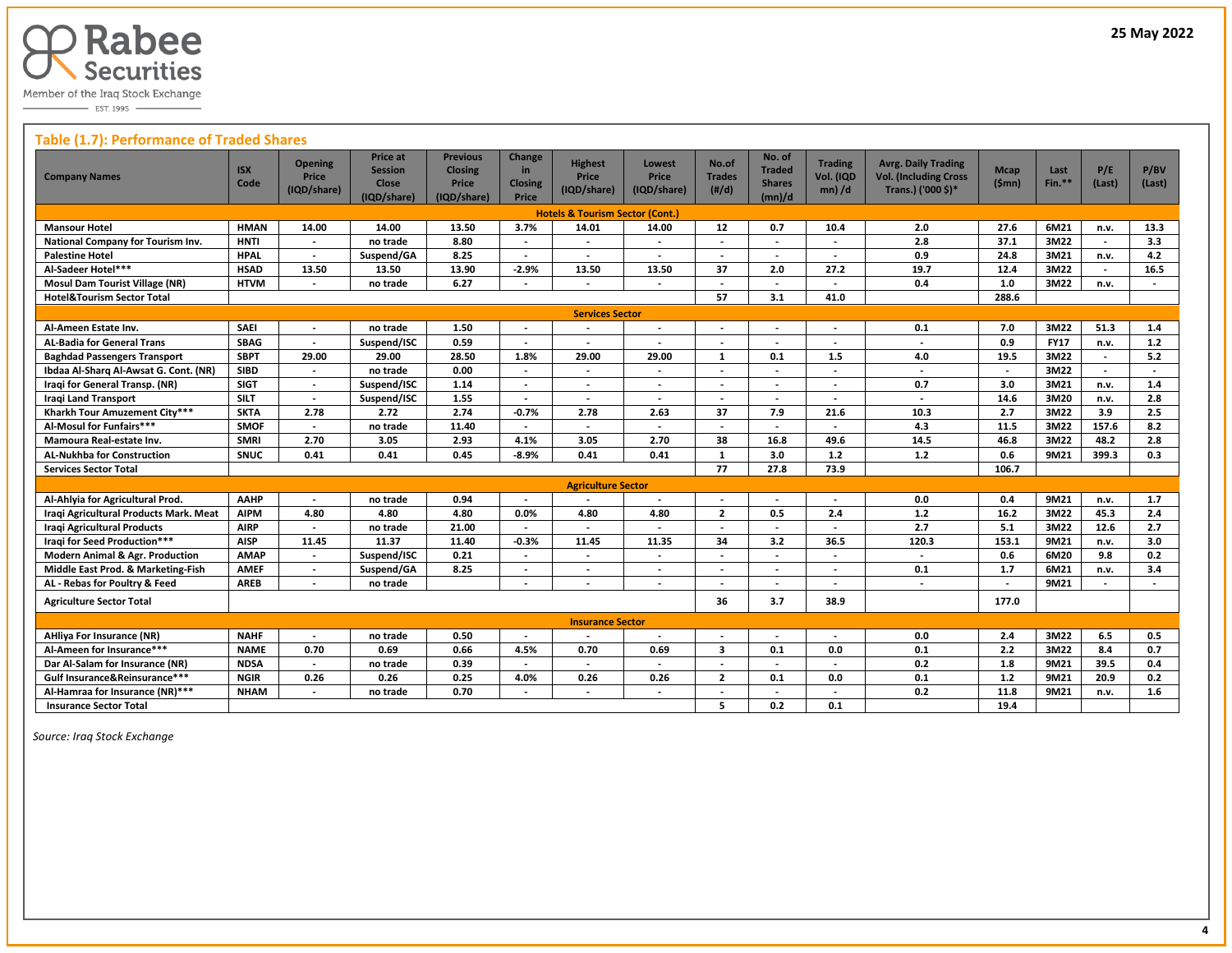

 $\overline{\phantom{0}}$  EST. 1995

# **Table (1.7): Performance of Traded Shares**

| <b>Company Names</b>                       | <b>ISX</b><br>Code | <b>Opening</b><br>Price<br>(IQD/share) | Price at<br><b>Session</b><br>Close<br>(IQD/share) | <b>Previous</b><br>Closing<br>Price<br>(IQD/share) | Change<br>in<br><b>Closing</b><br>Price | <b>Highest</b><br>Price<br>(IQD/share)     | <b>Lowest</b><br><b>Price</b><br>(IQD/share) | No.of<br><b>Trades</b><br>$(\#/d)$ | No. of<br><b>Traded</b><br><b>Shares</b><br>(mn)/d | <b>Trading</b><br>Vol. (IQD<br>$mn)$ /d | <b>Avrg. Daily Trading</b><br><b>Vol. (Including Cross</b><br>Trans.) ('000 \$)* | <b>Mcap</b><br>(Smn)     | Last<br>$Fin.**$ | P/E<br>(Last)            | P/BV<br>(Last) |
|--------------------------------------------|--------------------|----------------------------------------|----------------------------------------------------|----------------------------------------------------|-----------------------------------------|--------------------------------------------|----------------------------------------------|------------------------------------|----------------------------------------------------|-----------------------------------------|----------------------------------------------------------------------------------|--------------------------|------------------|--------------------------|----------------|
|                                            |                    |                                        |                                                    |                                                    |                                         | <b>Hotels &amp; Tourism Sector (Cont.)</b> |                                              |                                    |                                                    |                                         |                                                                                  |                          |                  |                          |                |
| <b>Mansour Hotel</b>                       | <b>HMAN</b>        | 14.00                                  | 14.00                                              | 13.50                                              | 3.7%                                    | 14.01                                      | 14.00                                        | 12                                 | 0.7                                                | 10.4                                    | 2.0                                                                              | 27.6                     | 6M21             | n.v.                     | 13.3           |
| National Company for Tourism Inv.          | <b>HNTI</b>        | $\overline{a}$                         | no trade                                           | 8.80                                               |                                         |                                            | $\overline{\phantom{a}}$                     |                                    | $\overline{\phantom{a}}$                           | $\overline{\phantom{a}}$                | 2.8                                                                              | 37.1                     | 3M22             | $\overline{\phantom{a}}$ | 3.3            |
| <b>Palestine Hotel</b>                     | <b>HPAL</b>        | $\overline{\phantom{a}}$               | Suspend/GA                                         | 8.25                                               | $\overline{\phantom{a}}$                | $\overline{\phantom{a}}$                   | $\overline{\phantom{a}}$                     | $\overline{\phantom{a}}$           | $\overline{\phantom{a}}$                           | $\overline{\phantom{a}}$                | 0.9                                                                              | 24.8                     | 3M21             | n.v.                     | 4.2            |
| Al-Sadeer Hotel***                         | <b>HSAD</b>        | 13.50                                  | 13.50                                              | 13.90                                              | $-2.9%$                                 | 13.50                                      | 13.50                                        | 37                                 | 2.0                                                | 27.2                                    | 19.7                                                                             | 12.4                     | 3M22             |                          | 16.5           |
| <b>Mosul Dam Tourist Village (NR)</b>      | <b>HTVM</b>        |                                        | no trade                                           | 6.27                                               |                                         |                                            | $\overline{\phantom{a}}$                     |                                    | $\overline{\phantom{a}}$                           |                                         | 0.4                                                                              | 1.0                      | 3M22             | n.v.                     |                |
| <b>Hotel&amp;Tourism Sector Total</b>      |                    |                                        |                                                    |                                                    |                                         |                                            |                                              | 57                                 | 3.1                                                | 41.0                                    |                                                                                  | 288.6                    |                  |                          |                |
| <b>Services Sector</b>                     |                    |                                        |                                                    |                                                    |                                         |                                            |                                              |                                    |                                                    |                                         |                                                                                  |                          |                  |                          |                |
| Al-Ameen Estate Inv.                       | <b>SAEI</b>        | $\overline{\phantom{a}}$               | no trade                                           | 1.50                                               | $\overline{\phantom{a}}$                |                                            | $\overline{\phantom{a}}$                     | $\overline{\phantom{a}}$           |                                                    |                                         | 0.1                                                                              | 7.0                      | 3M22             | 51.3                     | 1.4            |
| <b>AL-Badia for General Trans</b>          | <b>SBAG</b>        | $\overline{\phantom{a}}$               | Suspend/ISC                                        | 0.59                                               | $\blacksquare$                          |                                            |                                              |                                    |                                                    |                                         | $\overline{a}$                                                                   | 0.9                      | <b>FY17</b>      | n.v.                     | 1.2            |
| <b>Baghdad Passengers Transport</b>        | <b>SBPT</b>        | 29.00                                  | 29.00                                              | 28.50                                              | 1.8%                                    | 29.00                                      | 29.00                                        | $\mathbf{1}$                       | 0.1                                                | 1.5                                     | 4.0                                                                              | 19.5                     | 3M22             |                          | 5.2            |
| Ibdaa Al-Sharg Al-Awsat G. Cont. (NR)      | <b>SIBD</b>        | $\overline{\phantom{a}}$               | no trade                                           | 0.00                                               |                                         |                                            | $\overline{\phantom{a}}$                     | $\overline{\phantom{a}}$           | $\overline{\phantom{a}}$                           | $\overline{\phantom{a}}$                | $\overline{\phantom{a}}$                                                         | $\overline{\phantom{a}}$ | 3M22             | $\overline{a}$           |                |
| Iraqi for General Transp. (NR)             | <b>SIGT</b>        | $\overline{\phantom{a}}$               | Suspend/ISC                                        | 1.14                                               | $\overline{\phantom{a}}$                | $\overline{\phantom{a}}$                   | $\overline{\phantom{a}}$                     |                                    |                                                    | $\overline{\phantom{a}}$                | 0.7                                                                              | 3.0                      | 3M21             | n.v.                     | 1.4            |
| <b>Iragi Land Transport</b>                | <b>SILT</b>        | $\overline{a}$                         | Suspend/ISC                                        | 1.55                                               |                                         |                                            | $\overline{\phantom{a}}$                     | $\overline{\phantom{a}}$           |                                                    | $\overline{\phantom{a}}$                | $\overline{\phantom{a}}$                                                         | 14.6                     | 3M20             | n.v.                     | 2.8            |
| Kharkh Tour Amuzement City***              | <b>SKTA</b>        | 2.78                                   | 2.72                                               | 2.74                                               | $-0.7%$                                 | 2.78                                       | 2.63                                         | 37                                 | 7.9                                                | 21.6                                    | 10.3                                                                             | 2.7                      | 3M22             | 3.9                      | 2.5            |
| Al-Mosul for Funfairs***                   | <b>SMOF</b>        |                                        | no trade                                           | 11.40                                              |                                         |                                            |                                              |                                    |                                                    |                                         | 4.3                                                                              | 11.5                     | 3M22             | 157.6                    | 8.2            |
| Mamoura Real-estate Inv.                   | <b>SMRI</b>        | 2.70                                   | 3.05                                               | 2.93                                               | 4.1%                                    | 3.05                                       | 2.70                                         | 38                                 | 16.8                                               | 49.6                                    | 14.5                                                                             | 46.8                     | 3M22             | 48.2                     | 2.8            |
| <b>AL-Nukhba for Construction</b>          | <b>SNUC</b>        | 0.41                                   | 0.41                                               | 0.45                                               | $-8.9%$                                 | 0.41                                       | 0.41                                         | 1                                  | 3.0                                                | $1.2$                                   | 1.2                                                                              | 0.6                      | 9M21             | 399.3                    | 0.3            |
| <b>Services Sector Total</b>               |                    |                                        |                                                    |                                                    |                                         |                                            |                                              | 77                                 | 27.8                                               | 73.9                                    |                                                                                  | 106.7                    |                  |                          |                |
|                                            |                    |                                        |                                                    |                                                    |                                         | <b>Agriculture Sector</b>                  |                                              |                                    |                                                    |                                         |                                                                                  |                          |                  |                          |                |
| Al-Ahlyia for Agricultural Prod.           | <b>AAHP</b>        |                                        | no trade                                           | 0.94                                               | $\overline{\phantom{a}}$                |                                            | $\overline{a}$                               | $\overline{\phantom{a}}$           |                                                    |                                         | 0.0                                                                              | 0.4                      | 9M21             | n.v.                     | 1.7            |
| Iraqi Agricultural Products Mark. Meat     | <b>AIPM</b>        | 4.80                                   | 4.80                                               | 4.80                                               | 0.0%                                    | 4.80                                       | 4.80                                         | $\overline{2}$                     | 0.5                                                | 2.4                                     | 1.2                                                                              | 16.2                     | 3M22             | 45.3                     | 2.4            |
| <b>Iragi Agricultural Products</b>         | <b>AIRP</b>        | $\overline{\phantom{a}}$               | no trade                                           | 21.00                                              |                                         |                                            | $\overline{a}$                               | $\overline{\phantom{a}}$           | $\overline{\phantom{a}}$                           | $\overline{\phantom{a}}$                | 2.7                                                                              | 5.1                      | 3M22             | 12.6                     | 2.7            |
| Iragi for Seed Production***               | <b>AISP</b>        | 11.45                                  | 11.37                                              | 11.40                                              | $-0.3%$                                 | 11.45                                      | 11.35                                        | 34                                 | 3.2                                                | 36.5                                    | 120.3                                                                            | 153.1                    | 9M21             | n.v.                     | 3.0            |
| <b>Modern Animal &amp; Agr. Production</b> | <b>AMAP</b>        |                                        | Suspend/ISC                                        | 0.21                                               |                                         |                                            |                                              |                                    |                                                    |                                         |                                                                                  | 0.6                      | 6M20             | 9.8                      | 0.2            |
| Middle East Prod. & Marketing-Fish         | <b>AMEF</b>        | $\blacksquare$                         | Suspend/GA                                         | 8.25                                               | $\blacksquare$                          | $\overline{\phantom{a}}$                   | $\blacksquare$                               | $\overline{\phantom{a}}$           | $\overline{\phantom{a}}$                           | $\overline{\phantom{a}}$                | 0.1                                                                              | $1.7$                    | 6M21             | n.v.                     | 3.4            |
| AL - Rebas for Poultry & Feed              | <b>AREB</b>        | $\overline{\phantom{a}}$               | no trade                                           |                                                    | $\overline{\phantom{a}}$                |                                            | $\overline{\phantom{a}}$                     | $\overline{\phantom{a}}$           | $\overline{\phantom{a}}$                           |                                         | $\overline{\phantom{a}}$                                                         | $\overline{\phantom{a}}$ | 9M21             |                          |                |
| <b>Agriculture Sector Total</b>            |                    |                                        |                                                    |                                                    |                                         |                                            |                                              | 36                                 | 3.7                                                | 38.9                                    |                                                                                  | 177.0                    |                  |                          |                |
|                                            |                    |                                        |                                                    |                                                    |                                         | <b>Insurance Sector</b>                    |                                              |                                    |                                                    |                                         |                                                                                  |                          |                  |                          |                |
| <b>AHliya For Insurance (NR)</b>           | <b>NAHF</b>        | $\blacksquare$                         | no trade                                           | 0.50                                               | $\overline{\phantom{a}}$                |                                            | $\overline{\phantom{a}}$                     | $\overline{\phantom{a}}$           |                                                    |                                         | 0.0                                                                              | 2.4                      | 3M22             | 6.5                      | 0.5            |
| Al-Ameen for Insurance***                  | <b>NAME</b>        | 0.70                                   | 0.69                                               | 0.66                                               | 4.5%                                    | 0.70                                       | 0.69                                         | $\overline{\mathbf{3}}$            | 0.1                                                | 0.0                                     | 0.1                                                                              | 2.2                      | 3M22             | 8.4                      | 0.7            |
| Dar Al-Salam for Insurance (NR)            | <b>NDSA</b>        | $\overline{\phantom{a}}$               | no trade                                           | 0.39                                               |                                         |                                            | $\overline{\phantom{a}}$                     | $\overline{\phantom{a}}$           | $\overline{\phantom{a}}$                           |                                         | 0.2                                                                              | 1.8                      | 9M21             | 39.5                     | 0.4            |
| Gulf Insurance&Reinsurance***              | <b>NGIR</b>        | 0.26                                   | 0.26                                               | 0.25                                               | 4.0%                                    | 0.26                                       | 0.26                                         | $\overline{2}$                     | 0.1                                                | 0.0                                     | 0.1                                                                              | $1.2$                    | 9M21             | 20.9                     | 0.2            |
| Al-Hamraa for Insurance (NR)***            | <b>NHAM</b>        |                                        | no trade                                           | 0.70                                               | $\overline{\phantom{a}}$                | $\overline{\phantom{a}}$                   | $\overline{\phantom{a}}$                     | $\overline{\phantom{a}}$           | $\overline{\phantom{a}}$                           | $\overline{\phantom{a}}$                | 0.2                                                                              | 11.8                     | 9M21             | n.v.                     | 1.6            |
| <b>Insurance Sector Total</b>              |                    |                                        |                                                    |                                                    |                                         |                                            |                                              | 5                                  | 0.2                                                | 0.1                                     |                                                                                  | 19.4                     |                  |                          |                |

 *Source: Iraq Stock Exchange*

 $\overline{a}$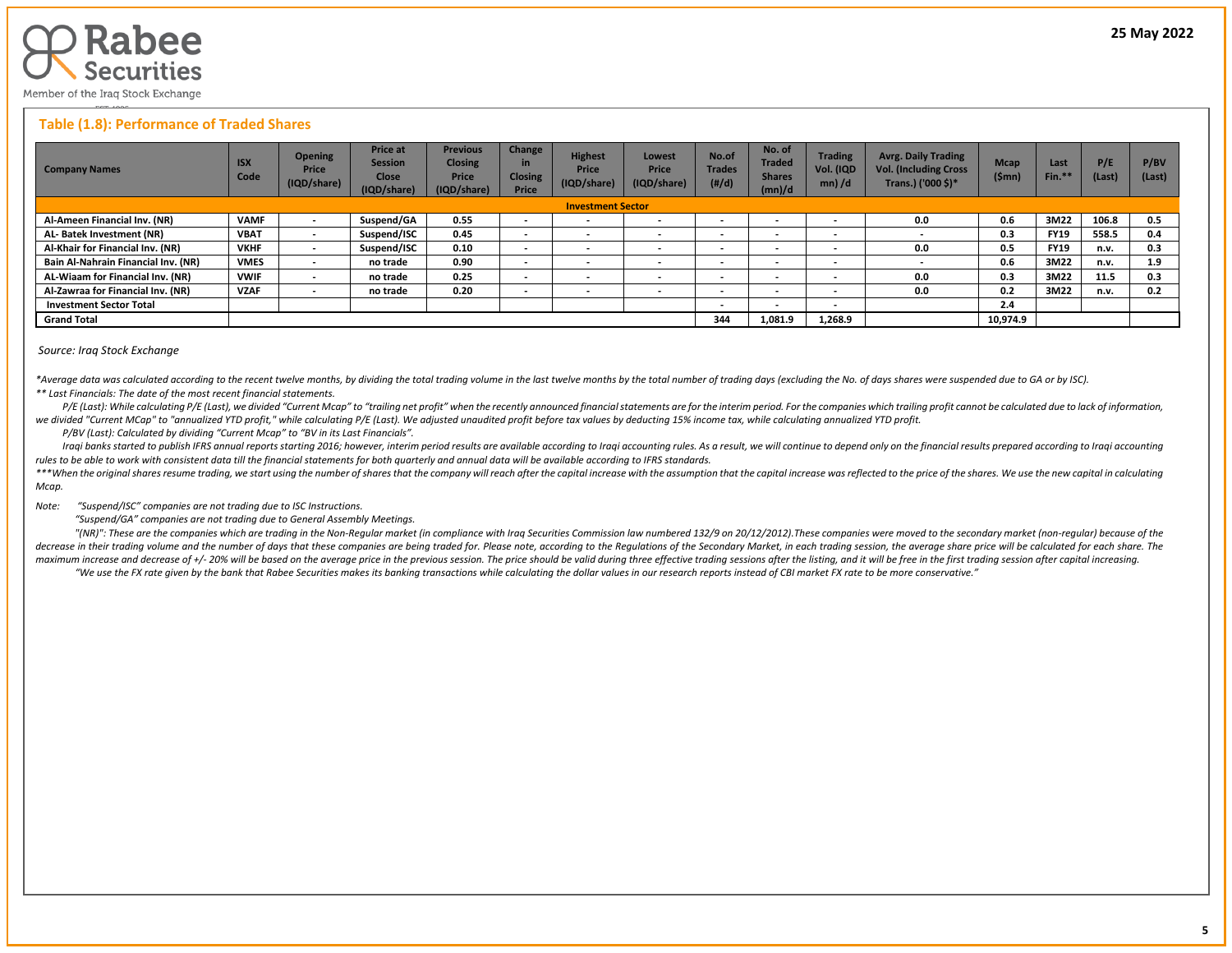

#### **Table (1.8): Performance of Traded Shares**

| <b>Company Names</b>                | <b>ISX</b><br>Code | <b>Opening</b><br>Price<br>(IQD/share) | <b>Price at</b><br><b>Session</b><br><b>Close</b><br>(IQD/share) | <b>Previous</b><br><b>Closing</b><br><b>Price</b><br>(IQD/share) | Change<br>in<br><b>Closing</b><br><b>Price</b> | <b>Highest</b><br>Price<br>(IQD/share) | Lowest<br><b>Price</b><br>(IQD/share) | No.of<br><b>Trades</b><br>(H/d) | No. of<br><b>Traded</b><br><b>Shares</b><br>(mn)/d | <b>Trading</b><br>Vol. (IQD<br>$mn)$ /d | <b>Avrg. Daily Trading</b><br><b>Vol. (Including Cross</b><br>Trans.) ('000 \$)* | <b>Mcap</b><br>(\$mn) | Last<br>Fin.* | P/E<br>(Last) | P/BV<br>(Last) |
|-------------------------------------|--------------------|----------------------------------------|------------------------------------------------------------------|------------------------------------------------------------------|------------------------------------------------|----------------------------------------|---------------------------------------|---------------------------------|----------------------------------------------------|-----------------------------------------|----------------------------------------------------------------------------------|-----------------------|---------------|---------------|----------------|
| <b>Investment Sector</b>            |                    |                                        |                                                                  |                                                                  |                                                |                                        |                                       |                                 |                                                    |                                         |                                                                                  |                       |               |               |                |
| Al-Ameen Financial Inv. (NR)        | <b>VAMF</b>        |                                        | Suspend/GA                                                       | 0.55                                                             | $\overline{\phantom{0}}$                       | $\overline{\phantom{a}}$               |                                       |                                 | $\overline{\phantom{a}}$                           | $\overline{\phantom{0}}$                | 0.0                                                                              | 0.6                   | 3M22          | 106.8         | 0.5            |
| AL-Batek Investment (NR)            | <b>VBAT</b>        | $\,$                                   | Suspend/ISC                                                      | 0.45                                                             | $\sim$                                         | $\overline{\phantom{a}}$               | $\overline{\phantom{a}}$              | $\overline{\phantom{a}}$        | $\overline{\phantom{a}}$                           | $\overline{\phantom{a}}$                | $\overline{\phantom{a}}$                                                         | 0.3                   | <b>FY19</b>   | 558.5         | 0.4            |
| Al-Khair for Financial Inv. (NR)    | <b>VKHF</b>        | $\overline{\phantom{a}}$               | Suspend/ISC                                                      | 0.10                                                             | $\overline{\phantom{a}}$                       | $\overline{\phantom{a}}$               |                                       |                                 | $\overline{\phantom{a}}$                           | $\overline{\phantom{0}}$                | 0.0                                                                              | 0.5                   | <b>FY19</b>   | n.v.          | 0.3            |
| Bain Al-Nahrain Financial Inv. (NR) | <b>VMES</b>        | $\,$                                   | no trade                                                         | 0.90                                                             | $\overline{\phantom{a}}$                       | $\overline{\phantom{a}}$               |                                       |                                 | $\overline{\phantom{a}}$                           | $\overline{\phantom{0}}$                |                                                                                  | 0.6                   | 3M22          | n.v.          | 1.9            |
| AL-Wiaam for Financial Inv. (NR)    | <b>VWIF</b>        | $\overline{\phantom{0}}$               | no trade                                                         | 0.25                                                             | $\overline{\phantom{a}}$                       |                                        |                                       |                                 | $\overline{\phantom{a}}$                           | $\overline{\phantom{0}}$                | 0.0                                                                              | 0.3                   | 3M22          | 11.5          | 0.3            |
| Al-Zawraa for Financial Inv. (NR)   | <b>VZAF</b>        | $\,$                                   | no trade                                                         | 0.20                                                             | $\overline{\phantom{a}}$                       | $\overline{\phantom{a}}$               |                                       |                                 | $\overline{\phantom{a}}$                           | $\overline{\phantom{0}}$                | 0.0                                                                              | 0.2                   | 3M22          | n.v.          | 0.2            |
| <b>Investment Sector Total</b>      |                    |                                        |                                                                  |                                                                  |                                                |                                        |                                       | $\overline{\phantom{a}}$        | $\overline{\phantom{0}}$                           | $\overline{\phantom{0}}$                |                                                                                  | 2.4                   |               |               |                |
| <b>Grand Total</b>                  |                    |                                        |                                                                  |                                                                  |                                                |                                        |                                       | 344                             | 1,081.9                                            | 1,268.9                                 |                                                                                  | 10,974.9              |               |               |                |

#### *Source: Iraq Stock Exchange*

\*Average data was calculated according to the recent twelve months, by dividing the total trading volume in the last twelve months by the total number of trading days (excluding the No. of days shares were suspended due to *\*\* Last Financials: The date of the most recent financial statements.* 

P/E (Last): While calculating P/E (Last), we divided "Current Mcap" to "trailing net profit" when the recently announced financial statements are for the interim period. For the companies which trailing profit cannot be ca *we divided "Current MCap" to "annualized YTD profit," while calculating P/E (Last). We adjusted unaudited profit before tax values by deducting 15% income tax, while calculating annualized YTD profit.*

 *P/BV (Last): Calculated by dividing "Current Mcap" to "BV in its Last Financials".*

Iraqi banks started to publish IFRS annual reports starting 2016; however, interim period results are available according to Iraqi accounting rules. As a result, we will continue to depend only on the financial results pre *rules to be able to work with consistent data till the financial statements for both quarterly and annual data will be available according to IFRS standards.* 

\*\*\*When the original shares resume trading, we start using the number of shares that the company will reach after the capital increase with the assumption that the capital increase was reflected to the price of the shares. *Mcap.*

*Note: "Suspend/ISC" companies are not trading due to ISC Instructions.*

 *"Suspend/GA" companies are not trading due to General Assembly Meetings.*

"(NR)": These are the companies which are trading in the Non-Regular market (in compliance with Iraq Securities Commission law numbered 132/9 on 20/12/2012). These companies were moved to the secondary market (non-regular) decrease in their trading volume and the number of days that these companies are being traded for. Please note, according to the Regulations of the Secondary Market, in each trading session, the average share price will be maximum increase and decrease of +/- 20% will be based on the average price in the previous session. The price should be valid during three effective trading sessions after the listing, and it will be free in the first tra "We use the FX rate given by the bank that Rabee Securities makes its banking transactions while calculating the dollar values in our research reports instead of CBI market FX rate to be more conservative."